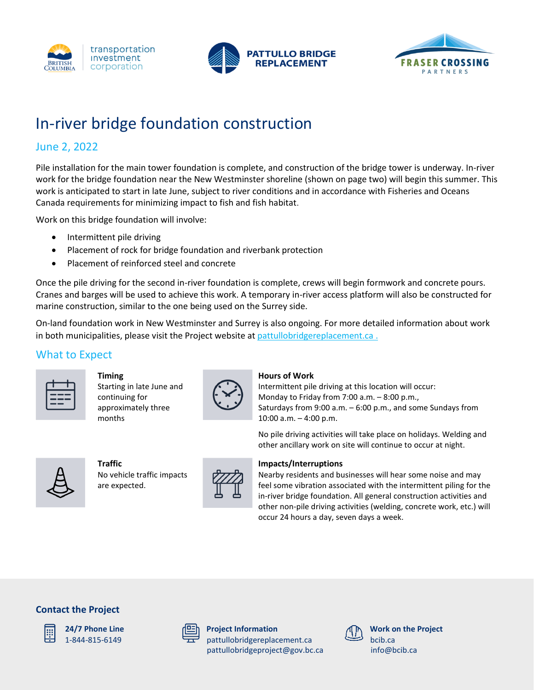





# In-river bridge foundation construction

## June 2, 2022

Pile installation for the main tower foundation is complete, and construction of the bridge tower is underway. In-river work for the bridge foundation near the New Westminster shoreline (shown on page two) will begin this summer. This work is anticipated to start in late June, subject to river conditions and in accordance with Fisheries and Oceans Canada requirements for minimizing impact to fish and fish habitat.

Work on this bridge foundation will involve:

- Intermittent pile driving
- Placement of rock for bridge foundation and riverbank protection
- Placement of reinforced steel and concrete

Once the pile driving for the second in-river foundation is complete, crews will begin formwork and concrete pours. Cranes and barges will be used to achieve this work. A temporary in-river access platform will also be constructed for marine construction, similar to the one being used on the Surrey side.

On-land foundation work in New Westminster and Surrey is also ongoing. For more detailed information about work in both municipalities, please visit the Project website at [pattullobridgereplacement.ca](file:///C:/Users/MaxVonKleist/Desktop/pattullobridgereplacement.ca) .

### What to Expect



#### **Timing**

Starting in late June and continuing for approximately three months



#### **Hours of Work**

Intermittent pile driving at this location will occur: Monday to Friday from 7:00 a.m. – 8:00 p.m., Saturdays from 9:00 a.m. – 6:00 p.m., and some Sundays from 10:00 a.m. – 4:00 p.m.

No pile driving activities will take place on holidays. Welding and other ancillary work on site will continue to occur at night.



**Traffic**  No vehicle traffic impacts are expected.



#### **Impacts/Interruptions**

Nearby residents and businesses will hear some noise and may feel some vibration associated with the intermittent piling for the in-river bridge foundation. All general construction activities and other non-pile driving activities (welding, concrete work, etc.) will occur 24 hours a day, seven days a week.

#### **Contact the Project**



**24/7 Phone Line** 1-844-815-6149

|  | ∸<br>-<br>- |
|--|-------------|
|  |             |

**Project Information** pattullobridgereplacement.ca [pattullobridgeproject@gov.bc.ca](mailto:pattullobridgeproject@gov.bc.ca)



**Work on the Project** bcib.ca [info@bcib.ca](mailto:info@bcib.ca)